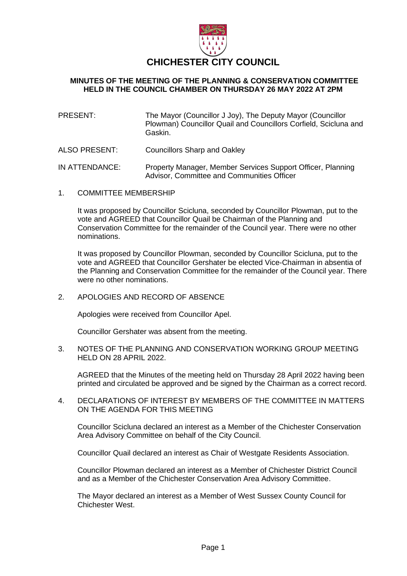

# **CHICHESTER CITY COUNCIL**

# **MINUTES OF THE MEETING OF THE PLANNING & CONSERVATION COMMITTEE HELD IN THE COUNCIL CHAMBER ON THURSDAY 26 MAY 2022 AT 2PM**

- PRESENT: The Mayor (Councillor J Joy), The Deputy Mayor (Councillor Plowman) Councillor Quail and Councillors Corfield, Scicluna and Gaskin.
- ALSO PRESENT: Councillors Sharp and Oakley
- IN ATTENDANCE: Property Manager, Member Services Support Officer, Planning Advisor, Committee and Communities Officer
- 1. COMMITTEE MEMBERSHIP

It was proposed by Councillor Scicluna, seconded by Councillor Plowman, put to the vote and AGREED that Councillor Quail be Chairman of the Planning and Conservation Committee for the remainder of the Council year. There were no other nominations.

It was proposed by Councillor Plowman, seconded by Councillor Scicluna, put to the vote and AGREED that Councillor Gershater be elected Vice-Chairman in absentia of the Planning and Conservation Committee for the remainder of the Council year. There were no other nominations.

2. APOLOGIES AND RECORD OF ABSENCE

Apologies were received from Councillor Apel.

Councillor Gershater was absent from the meeting.

3. NOTES OF THE PLANNING AND CONSERVATION WORKING GROUP MEETING HELD ON 28 APRIL 2022.

AGREED that the Minutes of the meeting held on Thursday 28 April 2022 having been printed and circulated be approved and be signed by the Chairman as a correct record.

4. DECLARATIONS OF INTEREST BY MEMBERS OF THE COMMITTEE IN MATTERS ON THE AGENDA FOR THIS MEETING

Councillor Scicluna declared an interest as a Member of the Chichester Conservation Area Advisory Committee on behalf of the City Council.

Councillor Quail declared an interest as Chair of Westgate Residents Association.

Councillor Plowman declared an interest as a Member of Chichester District Council and as a Member of the Chichester Conservation Area Advisory Committee.

The Mayor declared an interest as a Member of West Sussex County Council for Chichester West.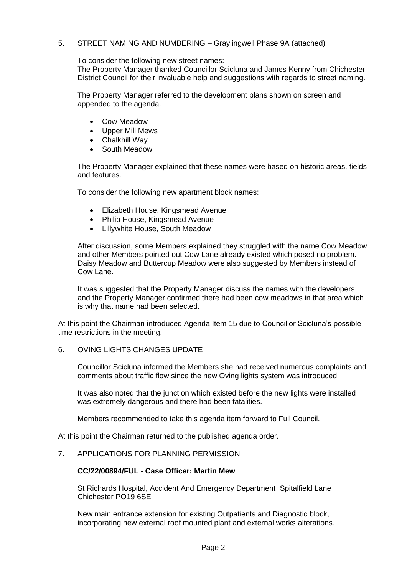# 5. STREET NAMING AND NUMBERING – Graylingwell Phase 9A (attached)

To consider the following new street names:

The Property Manager thanked Councillor Scicluna and James Kenny from Chichester District Council for their invaluable help and suggestions with regards to street naming.

The Property Manager referred to the development plans shown on screen and appended to the agenda.

- Cow Meadow
- Upper Mill Mews
- Chalkhill Way
- South Meadow

The Property Manager explained that these names were based on historic areas, fields and features.

To consider the following new apartment block names:

- Elizabeth House, Kingsmead Avenue
- Philip House, Kingsmead Avenue
- Lillywhite House, South Meadow

After discussion, some Members explained they struggled with the name Cow Meadow and other Members pointed out Cow Lane already existed which posed no problem. Daisy Meadow and Buttercup Meadow were also suggested by Members instead of Cow Lane.

It was suggested that the Property Manager discuss the names with the developers and the Property Manager confirmed there had been cow meadows in that area which is why that name had been selected.

At this point the Chairman introduced Agenda Item 15 due to Councillor Scicluna's possible time restrictions in the meeting.

#### 6. OVING LIGHTS CHANGES UPDATE

Councillor Scicluna informed the Members she had received numerous complaints and comments about traffic flow since the new Oving lights system was introduced.

It was also noted that the junction which existed before the new lights were installed was extremely dangerous and there had been fatalities.

Members recommended to take this agenda item forward to Full Council.

At this point the Chairman returned to the published agenda order.

## 7. APPLICATIONS FOR PLANNING PERMISSION

#### **CC/22/00894/FUL - Case Officer: Martin Mew**

St Richards Hospital, Accident And Emergency Department Spitalfield Lane Chichester PO19 6SE

New main entrance extension for existing Outpatients and Diagnostic block, incorporating new external roof mounted plant and external works alterations.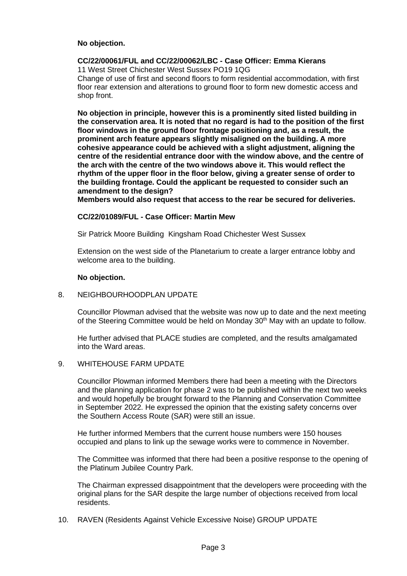## **No objection.**

## **CC/22/00061/FUL and CC/22/00062/LBC - Case Officer: Emma Kierans**

11 West Street Chichester West Sussex PO19 1QG Change of use of first and second floors to form residential accommodation, with first floor rear extension and alterations to ground floor to form new domestic access and shop front.

**No objection in principle, however this is a prominently sited listed building in the conservation area. It is noted that no regard is had to the position of the first floor windows in the ground floor frontage positioning and, as a result, the prominent arch feature appears slightly misaligned on the building. A more cohesive appearance could be achieved with a slight adjustment, aligning the centre of the residential entrance door with the window above, and the centre of the arch with the centre of the two windows above it. This would reflect the rhythm of the upper floor in the floor below, giving a greater sense of order to the building frontage. Could the applicant be requested to consider such an amendment to the design?**

**Members would also request that access to the rear be secured for deliveries.**

## **CC/22/01089/FUL - Case Officer: Martin Mew**

Sir Patrick Moore Building Kingsham Road Chichester West Sussex

Extension on the west side of the Planetarium to create a larger entrance lobby and welcome area to the building.

## **No objection.**

# 8. NEIGHBOURHOODPLAN UPDATE

Councillor Plowman advised that the website was now up to date and the next meeting of the Steering Committee would be held on Monday 30<sup>th</sup> May with an update to follow.

He further advised that PLACE studies are completed, and the results amalgamated into the Ward areas.

#### 9. WHITEHOUSE FARM UPDATE

Councillor Plowman informed Members there had been a meeting with the Directors and the planning application for phase 2 was to be published within the next two weeks and would hopefully be brought forward to the Planning and Conservation Committee in September 2022. He expressed the opinion that the existing safety concerns over the Southern Access Route (SAR) were still an issue.

He further informed Members that the current house numbers were 150 houses occupied and plans to link up the sewage works were to commence in November.

The Committee was informed that there had been a positive response to the opening of the Platinum Jubilee Country Park.

The Chairman expressed disappointment that the developers were proceeding with the original plans for the SAR despite the large number of objections received from local residents.

10. RAVEN (Residents Against Vehicle Excessive Noise) GROUP UPDATE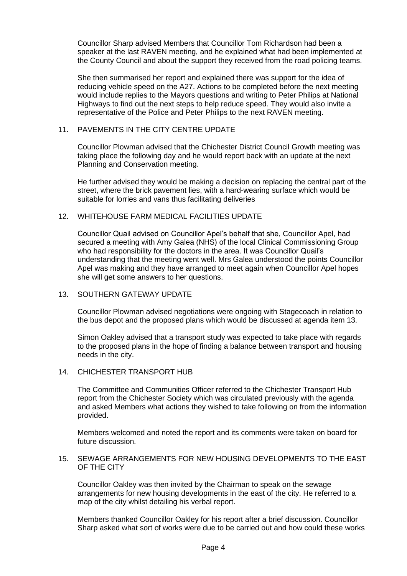Councillor Sharp advised Members that Councillor Tom Richardson had been a speaker at the last RAVEN meeting, and he explained what had been implemented at the County Council and about the support they received from the road policing teams.

She then summarised her report and explained there was support for the idea of reducing vehicle speed on the A27. Actions to be completed before the next meeting would include replies to the Mayors questions and writing to Peter Philips at National Highways to find out the next steps to help reduce speed. They would also invite a representative of the Police and Peter Philips to the next RAVEN meeting.

## 11. PAVEMENTS IN THE CITY CENTRE UPDATE

Councillor Plowman advised that the Chichester District Council Growth meeting was taking place the following day and he would report back with an update at the next Planning and Conservation meeting.

He further advised they would be making a decision on replacing the central part of the street, where the brick pavement lies, with a hard-wearing surface which would be suitable for lorries and vans thus facilitating deliveries

# 12. WHITEHOUSE FARM MEDICAL FACILITIES UPDATE

Councillor Quail advised on Councillor Apel's behalf that she, Councillor Apel, had secured a meeting with Amy Galea (NHS) of the local Clinical Commissioning Group who had responsibility for the doctors in the area. It was Councillor Quail's understanding that the meeting went well. Mrs Galea understood the points Councillor Apel was making and they have arranged to meet again when Councillor Apel hopes she will get some answers to her questions.

#### 13. SOUTHERN GATEWAY UPDATE

Councillor Plowman advised negotiations were ongoing with Stagecoach in relation to the bus depot and the proposed plans which would be discussed at agenda item 13.

Simon Oakley advised that a transport study was expected to take place with regards to the proposed plans in the hope of finding a balance between transport and housing needs in the city.

#### 14. CHICHESTER TRANSPORT HUB

The Committee and Communities Officer referred to the Chichester Transport Hub report from the Chichester Society which was circulated previously with the agenda and asked Members what actions they wished to take following on from the information provided.

Members welcomed and noted the report and its comments were taken on board for future discussion.

## 15. SEWAGE ARRANGEMENTS FOR NEW HOUSING DEVELOPMENTS TO THE EAST OF THE CITY

Councillor Oakley was then invited by the Chairman to speak on the sewage arrangements for new housing developments in the east of the city. He referred to a map of the city whilst detailing his verbal report.

Members thanked Councillor Oakley for his report after a brief discussion. Councillor Sharp asked what sort of works were due to be carried out and how could these works